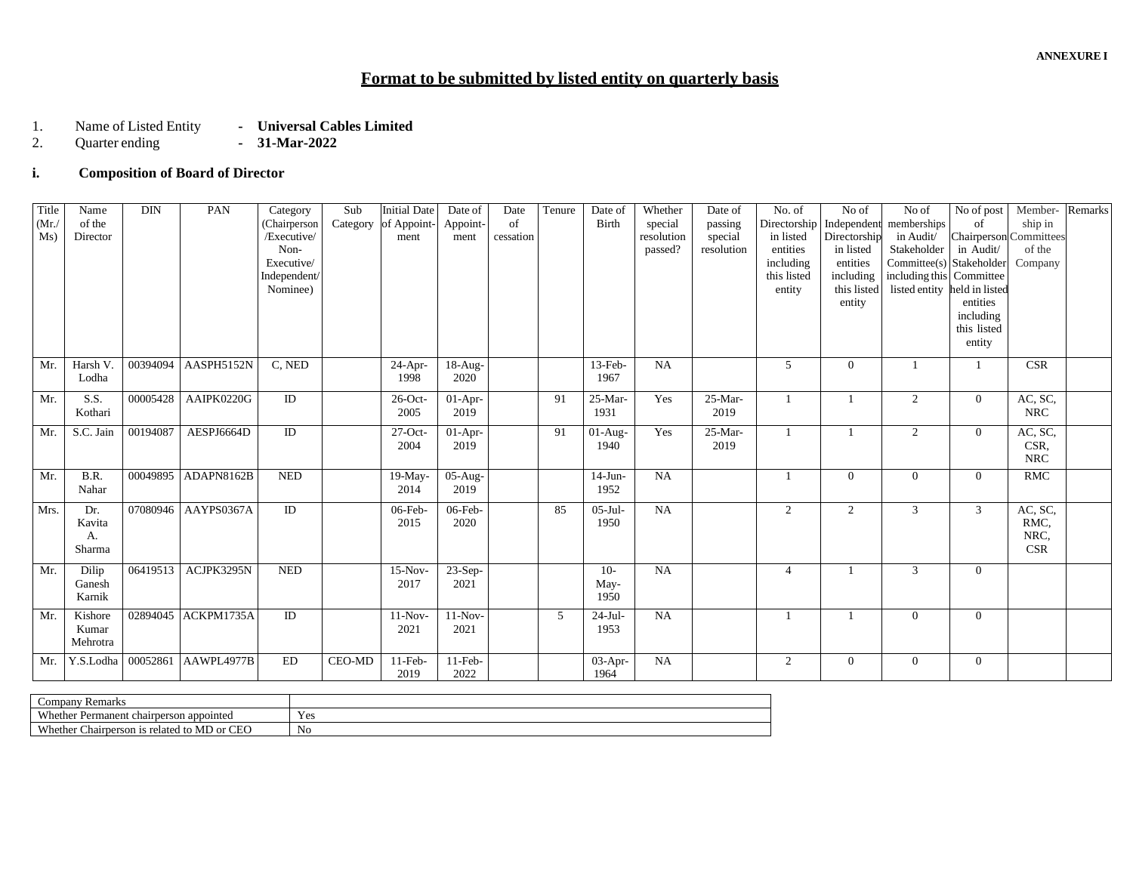# **Format to be submitted by listed entity on quarterly basis**

- 1. Name of Listed Entity **- Universal Cables Limited**<br>2. Quarter ending **- 31-Mar-2022** 
	- 2. Quarter ending  **31-Mar-2022**

## **i. Composition of Board of Director**

| Title       | Name      | <b>DIN</b> | PAN        | Category                     | Sub           | <b>Initial Date</b> | Date of   | Date      | Tenure | Date of      | Whether               | Date of               | No. of                | No of                     | No of                        | No of post                                 | Member-    | Remarks |
|-------------|-----------|------------|------------|------------------------------|---------------|---------------------|-----------|-----------|--------|--------------|-----------------------|-----------------------|-----------------------|---------------------------|------------------------------|--------------------------------------------|------------|---------|
| (Mr)<br>Ms) | of the    |            |            | (Chairperson)<br>/Executive/ | Category      | of Appoint-         | Appoint-  | of        |        | <b>Birth</b> | special               | passing               | Directorship          | Independent               | memberships                  | of                                         | ship in    |         |
|             | Director  |            |            | Non-                         |               | ment                | ment      | cessation |        |              | resolution<br>passed? | special<br>resolution | in listed<br>entities | Directorship<br>in listed | in Audit/<br>Stakeholder     | <b>Chairperson</b> Committees<br>in Audit/ | of the     |         |
|             |           |            |            | Executive/                   |               |                     |           |           |        |              |                       |                       | including             | entities                  | Committee(s) Stakeholder     |                                            | Company    |         |
|             |           |            |            | Independent/                 |               |                     |           |           |        |              |                       |                       | this listed           | including                 | including this Committee     |                                            |            |         |
|             |           |            |            | Nominee)                     |               |                     |           |           |        |              |                       |                       | entity                | this listed               | listed entity held in listed |                                            |            |         |
|             |           |            |            |                              |               |                     |           |           |        |              |                       |                       |                       | entity                    |                              | entities                                   |            |         |
|             |           |            |            |                              |               |                     |           |           |        |              |                       |                       |                       |                           |                              | including                                  |            |         |
|             |           |            |            |                              |               |                     |           |           |        |              |                       |                       |                       |                           |                              | this listed                                |            |         |
|             |           |            |            |                              |               |                     |           |           |        |              |                       |                       |                       |                           |                              | entity                                     |            |         |
| Mr.         | Harsh V.  | 00394094   | AASPH5152N | C, NED                       |               | 24-Apr-             | $18-Aug-$ |           |        | $13$ -Feb-   | NA                    |                       | 5                     | $\Omega$                  |                              |                                            | <b>CSR</b> |         |
|             | Lodha     |            |            |                              |               | 1998                | 2020      |           |        | 1967         |                       |                       |                       |                           |                              |                                            |            |         |
| Mr.         | S.S.      | 00005428   | AAIPK0220G | ID                           |               | 26-Oct-             | 01-Apr-   |           | 91     | 25-Mar-      | Yes                   | $25-Mar-$             | $\overline{1}$        |                           | $\overline{2}$               | $\overline{0}$                             | AC, SC,    |         |
|             | Kothari   |            |            |                              |               | 2005                | 2019      |           |        | 1931         |                       | 2019                  |                       |                           |                              |                                            | <b>NRC</b> |         |
| Mr.         | S.C. Jain | 00194087   | AESPJ6664D | ID                           |               | $27$ -Oct-          | $01-Apr-$ |           | 91     | $01-Aug-$    | Yes                   | 25-Mar-               | $\mathbf{1}$          |                           | $\overline{2}$               | $\overline{0}$                             | AC, SC,    |         |
|             |           |            |            |                              |               | 2004                | 2019      |           |        | 1940         |                       | 2019                  |                       |                           |                              |                                            | CSR,       |         |
|             |           |            |            |                              |               |                     |           |           |        |              |                       |                       |                       |                           |                              |                                            | <b>NRC</b> |         |
| Mr.         | B.R.      | 00049895   | ADAPN8162B | <b>NED</b>                   |               | 19-May-             | $05-Aug-$ |           |        | $14-J$ un-   | NA                    |                       |                       | $\Omega$                  | 0                            | $\Omega$                                   | <b>RMC</b> |         |
|             | Nahar     |            |            |                              |               | 2014                | 2019      |           |        | 1952         |                       |                       |                       |                           |                              |                                            |            |         |
| Mrs.        | Dr.       | 07080946   | AAYPS0367A | ID                           |               | 06-Feb-             | 06-Feb-   |           | 85     | $05-Jul-$    | NA                    |                       | 2                     | 2                         | $\overline{3}$               | $\mathbf{3}$                               | AC, SC,    |         |
|             | Kavita    |            |            |                              |               | 2015                | 2020      |           |        | 1950         |                       |                       |                       |                           |                              |                                            | RMC,       |         |
|             | А.        |            |            |                              |               |                     |           |           |        |              |                       |                       |                       |                           |                              |                                            | NRC,       |         |
|             | Sharma    |            |            |                              |               |                     |           |           |        |              |                       |                       |                       |                           |                              |                                            | <b>CSR</b> |         |
| Mr.         | Dilip     | 06419513   | ACJPK3295N | <b>NED</b>                   |               | $15-Nov-$           | 23-Sep-   |           |        | $10-$        | NA                    |                       | $\overline{4}$        |                           | 3                            | $\Omega$                                   |            |         |
|             | Ganesh    |            |            |                              |               | 2017                | 2021      |           |        | May-         |                       |                       |                       |                           |                              |                                            |            |         |
|             | Karnik    |            |            |                              |               |                     |           |           |        | 1950         |                       |                       |                       |                           |                              |                                            |            |         |
| Mr.         | Kishore   | 02894045   | ACKPM1735A | ID                           |               | $11-Nov-$           | $11-Nov$  |           | 5      | $24-Jul-$    | <b>NA</b>             |                       |                       |                           | $\Omega$                     | $\Omega$                                   |            |         |
|             | Kumar     |            |            |                              |               | 2021                | 2021      |           |        | 1953         |                       |                       |                       |                           |                              |                                            |            |         |
|             | Mehrotra  |            |            |                              |               |                     |           |           |        |              |                       |                       |                       |                           |                              |                                            |            |         |
| Mr.         | Y.S.Lodha | 00052861   | AAWPL4977B | <b>ED</b>                    | <b>CEO-MD</b> | $11-Feb-$           | $11-Feb-$ |           |        | 03-Apr-      | NA                    |                       | 2                     | $\mathbf{0}$              | $\Omega$                     | $\overline{0}$                             |            |         |
|             |           |            |            |                              |               | 2019                | 2022      |           |        | 1964         |                       |                       |                       |                           |                              |                                            |            |         |

| Company<br>Remarks                                                    |            |
|-----------------------------------------------------------------------|------------|
| W <sub>hat</sub><br>appointed<br>Permanent<br>chairpers<br>son        | <b>Yes</b> |
| Whethe.<br>CTC<br>MD or<br>hairperson is_<br>related<br>-to<br>بالباب | No         |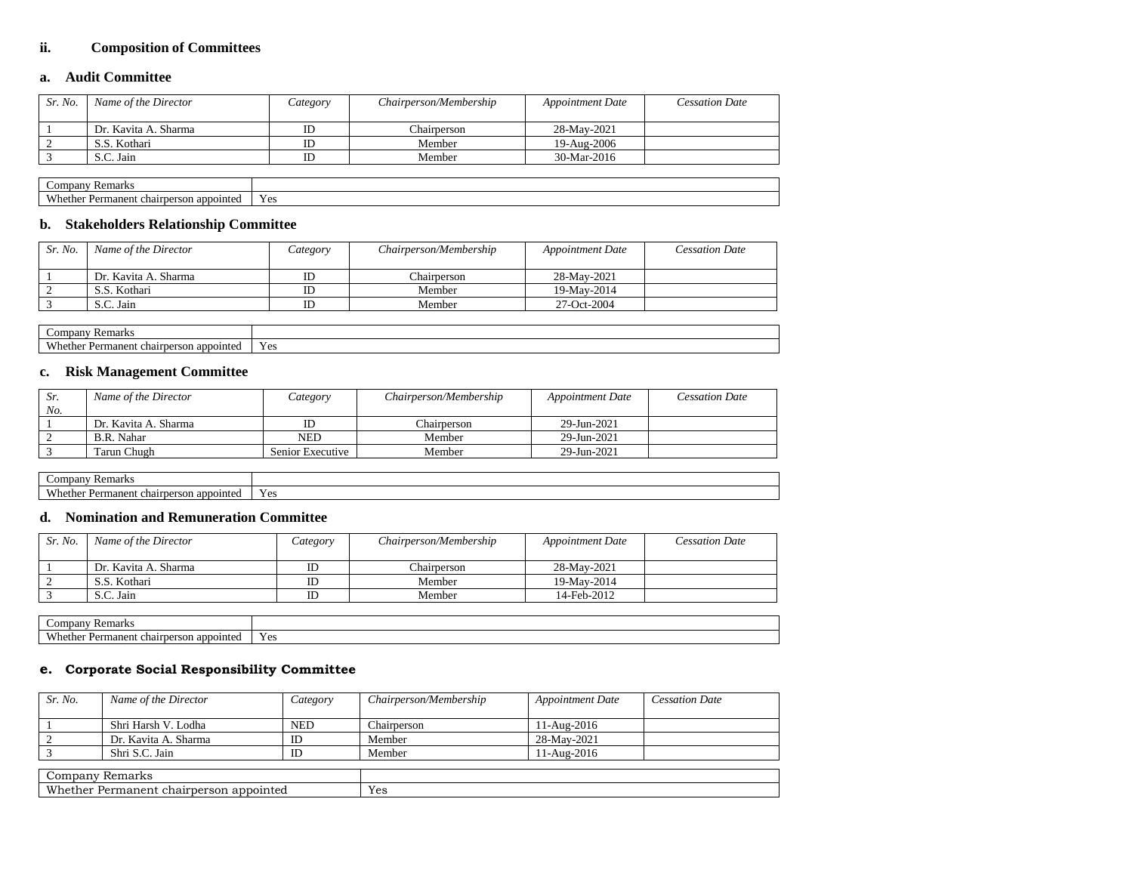### **ii. Composition of Committees**

### **a. Audit Committee**

| Sr. No. | Name of the Director | Category | Chairperson/Membership | <b>Appointment Date</b> | Cessation Date |
|---------|----------------------|----------|------------------------|-------------------------|----------------|
|         | Dr. Kavita A. Sharma | ID       | Chairperson            | 28-May-2021             |                |
|         | S.S. Kothari         | ID       | Member                 | 19-Aug-2006             |                |
|         | S.C. Jain            | ID       | Member                 | $30-Mar-2016$           |                |

| $\mathcal{L}$ ompany<br>7 Remark.                                |                     |
|------------------------------------------------------------------|---------------------|
| $\mathbf{V}$<br>.nether<br>rnerson annomte<br>Permanent<br>chair | . .<br>ہ ،<br>1 U.S |

### **b. Stakeholders Relationship Committee**

| Sr. No. | Name of the Director | Category | Chairperson/Membership | <b>Appointment Date</b> | <b>Cessation Date</b> |
|---------|----------------------|----------|------------------------|-------------------------|-----------------------|
|         | Dr. Kavita A. Sharma | ΙD       | Chairperson            | 28-May-2021             |                       |
|         | S.S. Kothari         | ΙD       | Member                 | 19-May-2014             |                       |
|         | S.C. Jain            |          | Member                 | 27-Oct-2004             |                       |

| ™ Remark<br>ompany                                  |                                       |
|-----------------------------------------------------|---------------------------------------|
| X/h<br>chair<br>manent.<br>Dar<br>rperson appointed | $\tilde{\phantom{a}}$<br>Voc<br>1 U.S |

### **c. Risk Management Committee**

| Sr. | Name of the Director | Category         | Chairperson/Membership | <b>Appointment Date</b> | <b>Cessation Date</b> |
|-----|----------------------|------------------|------------------------|-------------------------|-----------------------|
| No. |                      |                  |                        |                         |                       |
|     | Dr. Kavita A. Sharma |                  | Chairnerson            | 29-Jun-2021             |                       |
|     | B.R. Nahar           | NED              | Member                 | 29-Jun-2021             |                       |
|     | Tarun Chugh          | Senior Executive | Member                 | 29-Jun-2021             |                       |

| Remarks<br>Company                                |               |
|---------------------------------------------------|---------------|
| Whether.<br>chairperson appointe<br>anent<br>Perm | V oc<br>1 U.S |

## **d. Nomination and Remuneration Committee**

| Sr. No. | Name of the Director | Category | Chairperson/Membership | <b>Appointment Date</b> | Cessation Date |
|---------|----------------------|----------|------------------------|-------------------------|----------------|
|         |                      |          |                        |                         |                |
|         | Dr. Kavita A. Sharma |          | Chairperson            | 28-May-2021             |                |
|         | S.S. Kothari         |          | Member                 | 19-May-2014             |                |
|         | S.C. Jain            |          | Member                 | 14-Feb-2012             |                |

| <b>Remarks</b><br>Companv                                              |                       |
|------------------------------------------------------------------------|-----------------------|
| <b>Wh</b><br>.athar<br>manent:<br>i appointe<br>chair<br>Dar<br>person | $V_{\rho c}$<br>1 U.S |

### **e. Corporate Social Responsibility Committee**

| Sr. No.                                 | Name of the Director | Category   | Chairperson/Membership | <b>Appointment Date</b> | <b>Cessation Date</b> |  |  |
|-----------------------------------------|----------------------|------------|------------------------|-------------------------|-----------------------|--|--|
|                                         | Shri Harsh V. Lodha  | <b>NED</b> | Chairperson            | 11-Aug-2016             |                       |  |  |
|                                         | Dr. Kavita A. Sharma | ID         | Member                 | 28-May-2021             |                       |  |  |
|                                         | Shri S.C. Jain       | ID         | Member                 | 11-Aug-2016             |                       |  |  |
|                                         |                      |            |                        |                         |                       |  |  |
| Company Remarks                         |                      |            |                        |                         |                       |  |  |
| Whether Permanent chairperson appointed |                      |            | Yes                    |                         |                       |  |  |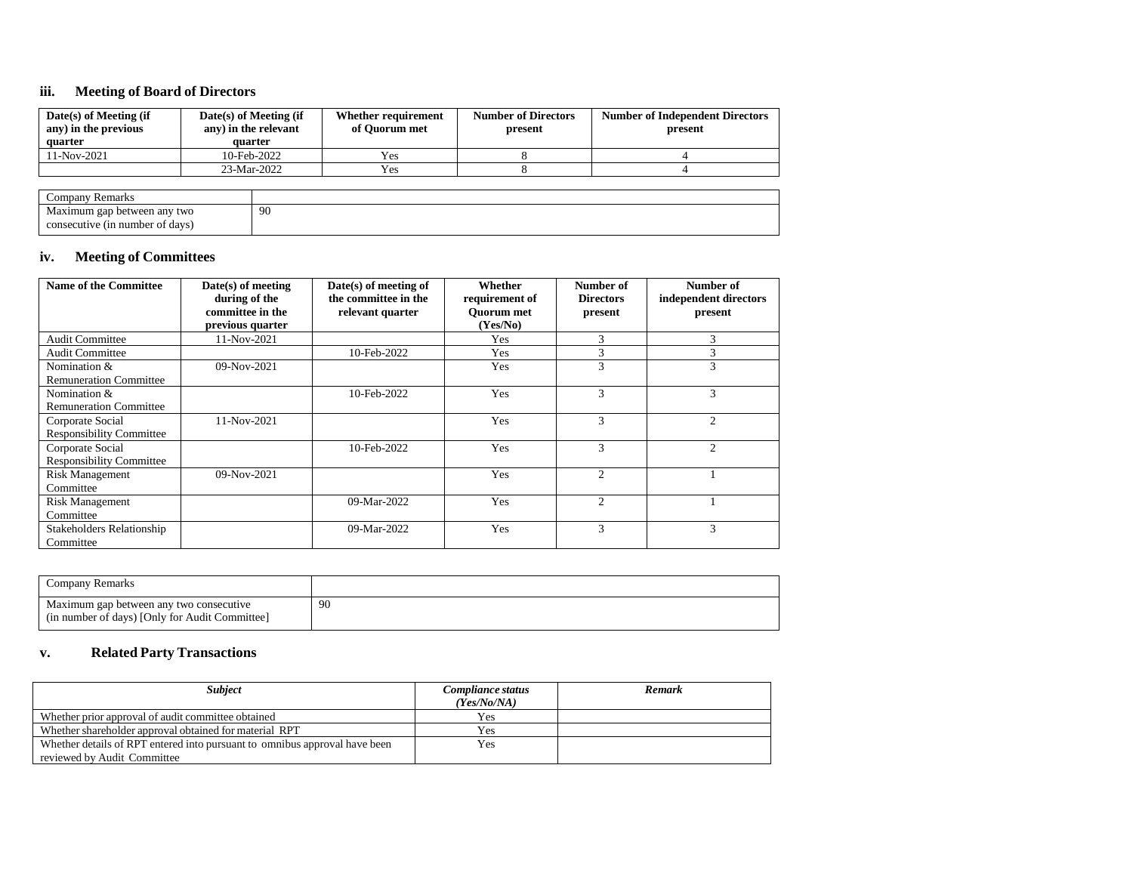### **iii. Meeting of Board of Directors**

| Date(s) of Meeting (if<br>any) in the previous<br>quarter | Date(s) of Meeting (if<br>any) in the relevant<br>quarter | Whether requirement<br>of Ouorum met | <b>Number of Directors</b><br>present | <b>Number of Independent Directors</b><br>present |
|-----------------------------------------------------------|-----------------------------------------------------------|--------------------------------------|---------------------------------------|---------------------------------------------------|
| $11-Nov-2021$                                             | 10-Feb-2022                                               | Yes                                  |                                       |                                                   |
|                                                           | 23-Mar-2022                                               | Yes                                  |                                       |                                                   |
|                                                           |                                                           |                                      |                                       |                                                   |

| * Remarks<br>$\mathcal{L}$ ompany    |     |
|--------------------------------------|-----|
| any two<br>31mum<br>gap<br>hetween.  | -90 |
| e (in number of davs)<br>consecutive |     |

# **iv. Meeting of Committees**

| <b>Name of the Committee</b>     | $Date(s)$ of meeting<br>during of the<br>committee in the | Date(s) of meeting of<br>the committee in the<br>relevant quarter | Whether<br>requirement of<br><b>Ouorum</b> met | Number of<br><b>Directors</b><br>present | Number of<br>independent directors<br>present |
|----------------------------------|-----------------------------------------------------------|-------------------------------------------------------------------|------------------------------------------------|------------------------------------------|-----------------------------------------------|
|                                  | previous quarter                                          |                                                                   | (Yes/No)                                       |                                          |                                               |
| <b>Audit Committee</b>           | 11-Nov-2021                                               |                                                                   | Yes                                            | 3                                        | 3                                             |
| <b>Audit Committee</b>           |                                                           | 10-Feb-2022                                                       | Yes                                            | 3                                        | 3                                             |
| Nomination &                     | 09-Nov-2021                                               |                                                                   | Yes                                            | 3                                        | 3                                             |
| <b>Remuneration Committee</b>    |                                                           |                                                                   |                                                |                                          |                                               |
| Nomination &                     |                                                           | 10-Feb-2022                                                       | Yes                                            | 3                                        | 3                                             |
| <b>Remuneration Committee</b>    |                                                           |                                                                   |                                                |                                          |                                               |
| Corporate Social                 | $11-Nov-2021$                                             |                                                                   | Yes                                            | 3                                        | $\overline{2}$                                |
| <b>Responsibility Committee</b>  |                                                           |                                                                   |                                                |                                          |                                               |
| Corporate Social                 |                                                           | 10-Feb-2022                                                       | Yes                                            | $\mathcal{R}$                            | $\overline{c}$                                |
| <b>Responsibility Committee</b>  |                                                           |                                                                   |                                                |                                          |                                               |
| <b>Risk Management</b>           | 09-Nov-2021                                               |                                                                   | Yes                                            | $\mathfrak{2}$                           |                                               |
| Committee                        |                                                           |                                                                   |                                                |                                          |                                               |
| <b>Risk Management</b>           |                                                           | 09-Mar-2022                                                       | Yes                                            | $\mathfrak{2}$                           |                                               |
| Committee                        |                                                           |                                                                   |                                                |                                          |                                               |
| <b>Stakeholders Relationship</b> |                                                           | 09-Mar-2022                                                       | Yes                                            | 3                                        | 3                                             |
| Committee                        |                                                           |                                                                   |                                                |                                          |                                               |

| Company Remarks                                                                           |     |
|-------------------------------------------------------------------------------------------|-----|
| Maximum gap between any two consecutive<br>(in number of days) [Only for Audit Committee] | -90 |

### **v. Related Party Transactions**

| <b>Subject</b>                                                             | Compliance status<br>(Yes/No/NA) | Remark |
|----------------------------------------------------------------------------|----------------------------------|--------|
| Whether prior approval of audit committee obtained                         | Yes                              |        |
| Whether shareholder approval obtained for material RPT                     | Yes                              |        |
| Whether details of RPT entered into pursuant to omnibus approval have been | Yes                              |        |
| reviewed by Audit Committee                                                |                                  |        |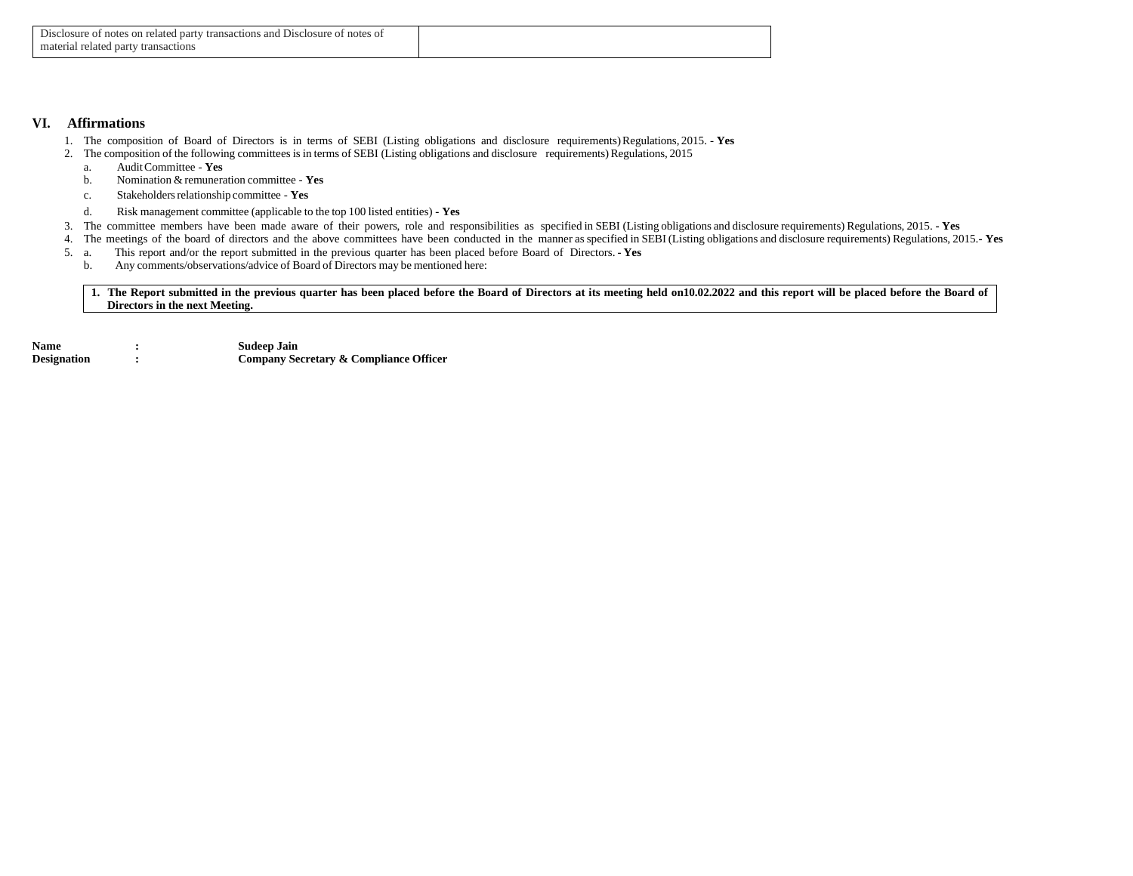#### **VI. Affirmations**

- 1. The composition of Board of Directors is in terms of SEBI (Listing obligations and disclosure requirements)Regulations, 2015. **Yes**
- 2. The composition of the following committees is in terms of SEBI (Listing obligations and disclosure requirements) Regulations, 2015
	- a. AuditCommittee **Yes**
	- b. Nomination & remuneration committee **Yes**
	- c. Stakeholdersrelationship committee **Yes**
	- d. Risk management committee (applicable to the top 100 listed entities) **- Yes**
- 3. The committee members have been made aware of their powers, role and responsibilities as specified in SEBI (Listing obligations and disclosure requirements) Regulations, 2015. **- Yes**
- 4. The meetings of the board of directors and the above committees have been conducted in the manner as specified in SEBI (Listing obligations and disclosure requirements) Regulations, 2015.**- Yes**
- 5. a. This report and/or the report submitted in the previous quarter has been placed before Board of Directors. **- Yes**
	- b. Any comments/observations/advice of Board of Directors may be mentioned here:

**1. The Report submitted in the previous quarter has been placed before the Board of Directors at its meeting held on10.02.2022 and this report will be placed before the Board of Directors in the next Meeting.**

Name : **Sudeep Jain**<br>Designation : **Company Se Company Secretary & Compliance Officer**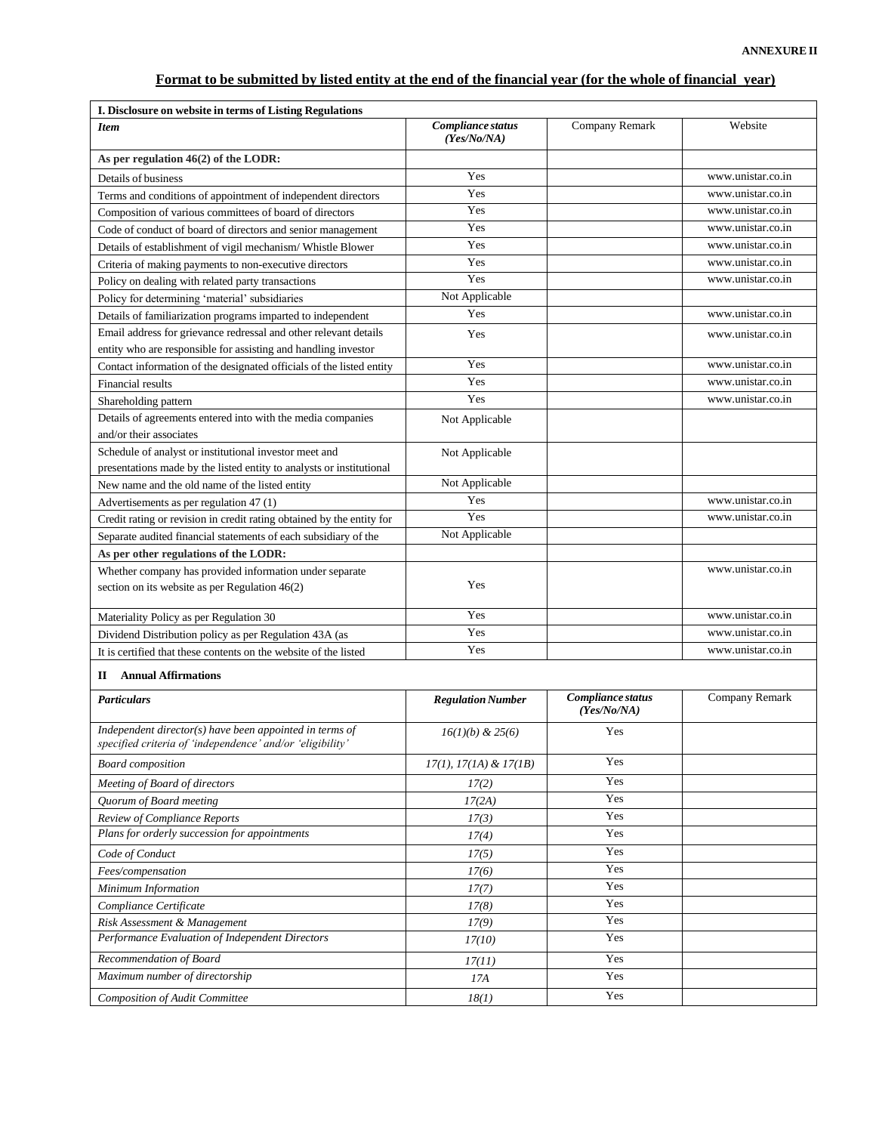# Format to be submitted by listed entity at the end of the financial year (for the whole of financial year)

| I. Disclosure on website in terms of Listing Regulations                                                             |                                  |                                  |                   |
|----------------------------------------------------------------------------------------------------------------------|----------------------------------|----------------------------------|-------------------|
| <b>Item</b>                                                                                                          | Compliance status<br>(Yes/No/NA) | Company Remark                   | Website           |
| As per regulation $46(2)$ of the LODR:                                                                               |                                  |                                  |                   |
| Details of business                                                                                                  | Yes                              |                                  | www.unistar.co.in |
| Terms and conditions of appointment of independent directors                                                         | Yes                              |                                  | www.unistar.co.in |
| Composition of various committees of board of directors                                                              | Yes                              |                                  | www.unistar.co.in |
| Code of conduct of board of directors and senior management                                                          | Yes                              |                                  | www.unistar.co.in |
| Details of establishment of vigil mechanism/Whistle Blower                                                           | Yes                              |                                  | www.unistar.co.in |
| Criteria of making payments to non-executive directors                                                               | Yes                              |                                  | www.unistar.co.in |
| Policy on dealing with related party transactions                                                                    | Yes                              |                                  | www.unistar.co.in |
| Policy for determining 'material' subsidiaries                                                                       | Not Applicable                   |                                  |                   |
| Details of familiarization programs imparted to independent                                                          | Yes                              |                                  | www.unistar.co.in |
| Email address for grievance redressal and other relevant details                                                     | Yes                              |                                  | www.unistar.co.in |
| entity who are responsible for assisting and handling investor                                                       |                                  |                                  |                   |
| Contact information of the designated officials of the listed entity                                                 | Yes                              |                                  | www.unistar.co.in |
| Financial results                                                                                                    | Yes                              |                                  | www.unistar.co.in |
| Shareholding pattern                                                                                                 | Yes                              |                                  | www.unistar.co.in |
| Details of agreements entered into with the media companies                                                          | Not Applicable                   |                                  |                   |
| and/or their associates                                                                                              |                                  |                                  |                   |
| Schedule of analyst or institutional investor meet and                                                               | Not Applicable                   |                                  |                   |
| presentations made by the listed entity to analysts or institutional                                                 |                                  |                                  |                   |
| New name and the old name of the listed entity                                                                       | Not Applicable                   |                                  |                   |
| Advertisements as per regulation 47 (1)                                                                              | Yes                              |                                  | www.unistar.co.in |
| Credit rating or revision in credit rating obtained by the entity for                                                | Yes                              |                                  | www.unistar.co.in |
| Separate audited financial statements of each subsidiary of the                                                      | Not Applicable                   |                                  |                   |
| As per other regulations of the LODR:                                                                                |                                  |                                  |                   |
| Whether company has provided information under separate                                                              |                                  |                                  | www.unistar.co.in |
| section on its website as per Regulation 46(2)                                                                       | Yes                              |                                  |                   |
| Materiality Policy as per Regulation 30                                                                              | Yes                              |                                  | www.unistar.co.in |
| Dividend Distribution policy as per Regulation 43A (as                                                               | Yes                              |                                  | www.unistar.co.in |
| It is certified that these contents on the website of the listed                                                     | Yes                              |                                  | www.unistar.co.in |
| <b>Annual Affirmations</b><br>П                                                                                      |                                  |                                  |                   |
| <b>Particulars</b>                                                                                                   | <b>Regulation Number</b>         | Compliance status<br>(Yes/No/NA) | Company Remark    |
| Independent director(s) have been appointed in terms of<br>specified criteria of 'independence' and/or 'eligibility' | $16(1)(b) \& 25(6)$              | Yes                              |                   |
| <b>Board</b> composition                                                                                             | $17(1), 17(1A) \& 17(1B)$        | Yes                              |                   |
| Meeting of Board of directors                                                                                        | 17(2)                            | Yes                              |                   |
| Quorum of Board meeting                                                                                              | 17(2A)                           | Yes                              |                   |
| Review of Compliance Reports                                                                                         | 17(3)                            | Yes                              |                   |
| Plans for orderly succession for appointments                                                                        | 17(4)                            | Yes                              |                   |

| Review of Computance Reports                    | 1/(3)  | 1 U.S |  |
|-------------------------------------------------|--------|-------|--|
| Plans for orderly succession for appointments   | 17(4)  | Yes   |  |
| Code of Conduct                                 | 17(5)  | Yes   |  |
| Fees/compensation                               | 17(6)  | Yes   |  |
| Minimum Information                             | 17(7)  | Yes   |  |
| Compliance Certificate                          | 17(8)  | Yes   |  |
| Risk Assessment & Management                    | 17(9)  | Yes   |  |
| Performance Evaluation of Independent Directors | 17(10) | Yes   |  |
| Recommendation of Board                         | 17(11) | Yes   |  |
| Maximum number of directorship                  | 17A    | Yes   |  |
| <b>Composition of Audit Committee</b>           | 18(1)  | Yes   |  |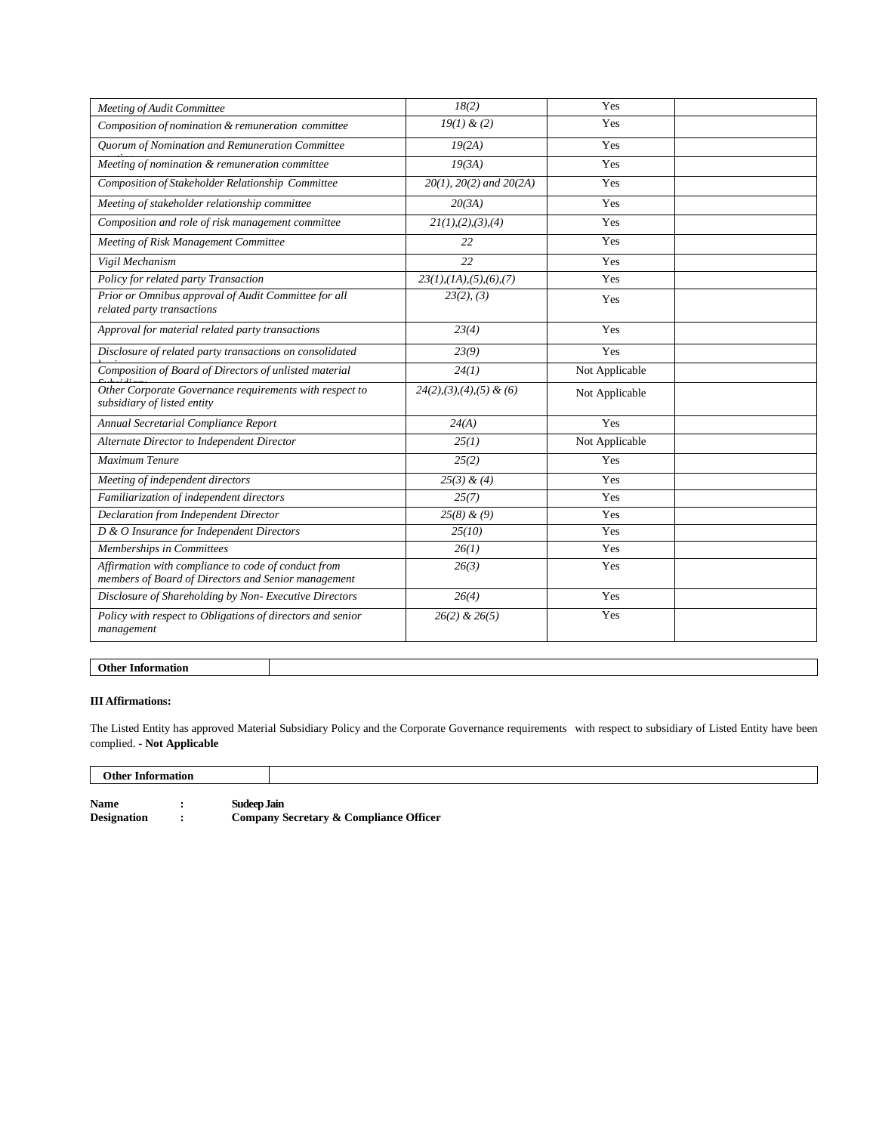| Meeting of Audit Committee                                                                                 | 18(2)                                    | Yes            |  |
|------------------------------------------------------------------------------------------------------------|------------------------------------------|----------------|--|
| Composition of nomination & remuneration committee                                                         | 19(1) & (2)                              | Yes            |  |
| Quorum of Nomination and Remuneration Committee                                                            | 19(2A)                                   | Yes            |  |
| Meeting of nomination & remuneration committee                                                             | 19(3A)                                   | Yes            |  |
| Composition of Stakeholder Relationship Committee                                                          | $20(1)$ , $20(2)$ and $20(2A)$           | Yes            |  |
| Meeting of stakeholder relationship committee                                                              | 20(3A)                                   | Yes            |  |
| Composition and role of risk management committee                                                          | 2I(1),(2),(3),(4)                        | Yes            |  |
| Meeting of Risk Management Committee                                                                       | 22                                       | Yes            |  |
| Vigil Mechanism                                                                                            | 22                                       | Yes            |  |
| Policy for related party Transaction                                                                       | $23(1)$ , $(1A)$ , $(5)$ , $(6)$ , $(7)$ | Yes            |  |
| Prior or Omnibus approval of Audit Committee for all<br>related party transactions                         | 23(2), (3)                               | Yes            |  |
| Approval for material related party transactions                                                           | 23(4)                                    | Yes            |  |
| Disclosure of related party transactions on consolidated                                                   | 23(9)                                    | Yes            |  |
| Composition of Board of Directors of unlisted material                                                     | 24(1)                                    | Not Applicable |  |
| Other Corporate Governance requirements with respect to<br>subsidiary of listed entity                     | $24(2), (3), (4), (5)$ & (6)             | Not Applicable |  |
| Annual Secretarial Compliance Report                                                                       | 24(A)                                    | Yes            |  |
| Alternate Director to Independent Director                                                                 | 25(1)                                    | Not Applicable |  |
| Maximum Tenure                                                                                             | 25(2)                                    | Yes            |  |
| Meeting of independent directors                                                                           | 25(3) & (4)                              | Yes            |  |
| Familiarization of independent directors                                                                   | 25(7)                                    | Yes            |  |
| Declaration from Independent Director                                                                      | $25(8)$ & (9)                            | Yes            |  |
| D & O Insurance for Independent Directors                                                                  | 25(10)                                   | Yes            |  |
| Memberships in Committees                                                                                  | 26(1)                                    | Yes            |  |
| Affirmation with compliance to code of conduct from<br>members of Board of Directors and Senior management | 26(3)                                    | Yes            |  |
| Disclosure of Shareholding by Non- Executive Directors                                                     | 26(4)                                    | Yes            |  |
| Policy with respect to Obligations of directors and senior<br>management                                   | $26(2)$ & $26(5)$                        | Yes            |  |

### **Other Information**

### **III Affirmations:**

The Listed Entity has approved Material Subsidiary Policy and the Corporate Governance requirements with respect to subsidiary of Listed Entity have been complied. **- Not Applicable**

| <b>Other Information</b> |  |                                        |
|--------------------------|--|----------------------------------------|
| <b>Name</b>              |  | Sudeep Jain                            |
|                          |  |                                        |
| <b>Designation</b>       |  | Company Secretary & Compliance Officer |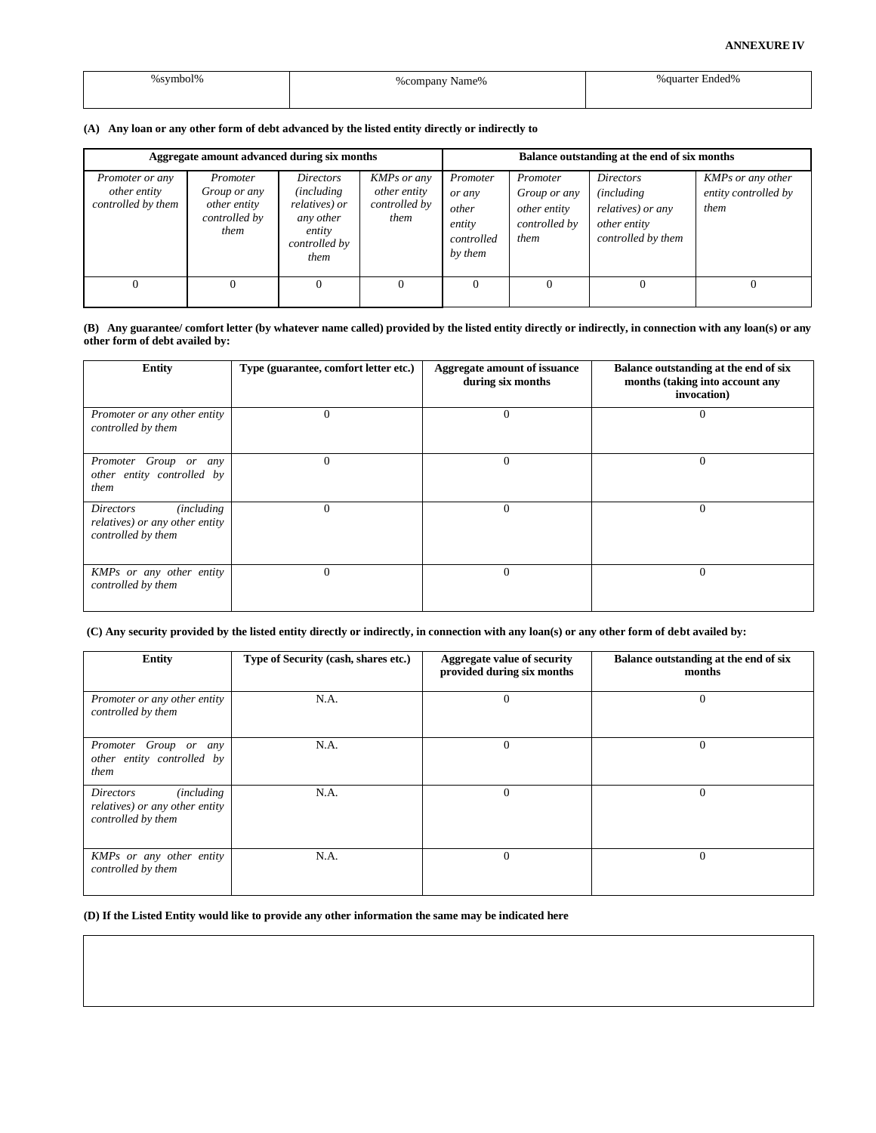#### **ANNEXURE IV**

| symbol%<br> | %company Name% | % auarter Ended%<br>. |
|-------------|----------------|-----------------------|
|             |                |                       |

### **(A) Any loan or any other form of debt advanced by the listed entity directly or indirectly to**

| Aggregate amount advanced during six months                  |                                                                   |                                                                                                         |                                                             |                                                                |                                                                   | Balance outstanding at the end of six months                                                      |                                                   |
|--------------------------------------------------------------|-------------------------------------------------------------------|---------------------------------------------------------------------------------------------------------|-------------------------------------------------------------|----------------------------------------------------------------|-------------------------------------------------------------------|---------------------------------------------------------------------------------------------------|---------------------------------------------------|
| <i>Promoter or any</i><br>other entity<br>controlled by them | Promoter<br>Group or any<br>other entity<br>controlled by<br>them | <i>Directors</i><br><i>(including)</i><br>relatives) or<br>any other<br>entity<br>controlled by<br>them | <b>KMPs</b> or any<br>other entity<br>controlled by<br>them | Promoter<br>or any<br>other<br>entity<br>controlled<br>by them | Promoter<br>Group or any<br>other entity<br>controlled by<br>them | <i>Directors</i><br><i>(including)</i><br>relatives) or any<br>other entity<br>controlled by them | KMPs or any other<br>entity controlled by<br>them |
|                                                              |                                                                   |                                                                                                         |                                                             |                                                                |                                                                   |                                                                                                   |                                                   |

#### **(B) Any guarantee/ comfort letter (by whatever name called) provided by the listed entity directly or indirectly, in connection with any loan(s) or any other form of debt availed by:**

| Entity                                                                                         | Type (guarantee, comfort letter etc.) | Aggregate amount of issuance<br>during six months | Balance outstanding at the end of six<br>months (taking into account any<br>invocation) |
|------------------------------------------------------------------------------------------------|---------------------------------------|---------------------------------------------------|-----------------------------------------------------------------------------------------|
| Promoter or any other entity<br>controlled by them                                             | 0                                     | $\theta$                                          | 0                                                                                       |
| Promoter Group or any<br>other entity controlled by<br>them                                    | $\theta$                              | $\Omega$                                          | $\Omega$                                                                                |
| <i>(including)</i><br><i>Directors</i><br>relatives) or any other entity<br>controlled by them | $\theta$                              | $\Omega$                                          | $\Omega$                                                                                |
| KMPs or any other entity<br>controlled by them                                                 | $\Omega$                              | $\theta$                                          | $\mathbf{0}$                                                                            |

#### **(C) Any security provided by the listed entity directly or indirectly, in connection with any loan(s) or any other form of debt availed by:**

| Entity                                                                                         | Type of Security (cash, shares etc.) | Aggregate value of security<br>provided during six months | Balance outstanding at the end of six<br>months |
|------------------------------------------------------------------------------------------------|--------------------------------------|-----------------------------------------------------------|-------------------------------------------------|
| Promoter or any other entity<br>controlled by them                                             | N.A.                                 | $\Omega$                                                  | $\Omega$                                        |
| Promoter Group or any<br>other entity controlled by<br>them                                    | N.A.                                 | $\Omega$                                                  | $\Omega$                                        |
| <i>(including)</i><br><i>Directors</i><br>relatives) or any other entity<br>controlled by them | N.A.                                 | $\Omega$                                                  | $\Omega$                                        |
| KMPs or any other entity<br>controlled by them                                                 | N.A.                                 | $\Omega$                                                  | $\Omega$                                        |

### **(D) If the Listed Entity would like to provide any other information the same may be indicated here**